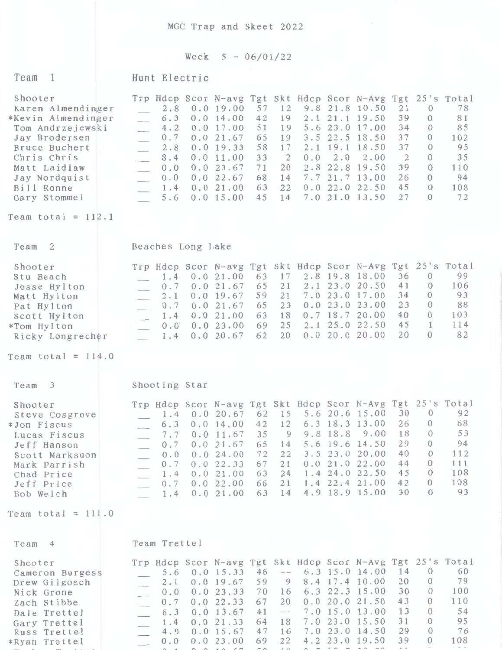MGC Trap and Skeet 2022

## Week  $5 - 06/01/22$

| Team<br>$\overline{1}$                                                                                                                                                                                         | Hunt Electric                                                                                                                                                                                                                                                                                                                                                                                                                                                                                                                                                                                                                                                                                                                                                                                                                                                                                                                         |  |
|----------------------------------------------------------------------------------------------------------------------------------------------------------------------------------------------------------------|---------------------------------------------------------------------------------------------------------------------------------------------------------------------------------------------------------------------------------------------------------------------------------------------------------------------------------------------------------------------------------------------------------------------------------------------------------------------------------------------------------------------------------------------------------------------------------------------------------------------------------------------------------------------------------------------------------------------------------------------------------------------------------------------------------------------------------------------------------------------------------------------------------------------------------------|--|
| Shooter<br>Karen Almendinger<br>*Kevin Almendinger<br>Tom Andrzejewski<br>Jay Brodersen<br>Bruce Buchert<br>Chris Chris<br>Matt Laidlaw<br>Jay Nordquist<br>Bill Ronne<br>Gary Stommel<br>Team total = $112.1$ | Trp Hdcp Scor N-avg Tgt Skt Hdcp Scor N-Avg Tgt 25's Total<br>21<br>78<br>12<br>9.8 21.8 10.50<br>$\theta$<br>0.019.00<br>57<br>2.8<br>39<br>81<br>0.014.00<br>42<br>19<br>21.1 19.50<br>$\theta$<br>6.3<br>2.1<br>$\overline{\phantom{a}}$<br>5.623.0<br>34<br>85<br>51<br>17.00<br>$\overline{0}$<br>0.017.00<br>19<br>4.2<br>37<br>102<br>65<br>3.5 22.5 18.50<br>$\Omega$<br>0.021.67<br>19<br>0.7<br>37<br>95<br>58<br>17<br>2.1<br>19.1 18.50<br>$\theta$<br>0.019.33<br>2.8<br>$\overline{2}$<br>35<br>33<br>0.0<br>2.0<br>2.00<br>$\mathbf{0}$<br>0.011.00<br>$\overline{2}$<br>8.4<br>110<br>71<br>2.8<br>22.8<br>19.50<br>39<br>$\Omega$<br>0.023.67<br>20<br>0.0<br>26<br>94<br>$7.7$ 21.7 13.00<br>0.0 22.67<br>68<br>14<br>$\theta$<br>0.0<br>$\overline{\phantom{a}}$<br>45<br>108<br>22<br>0.022.022.50<br>0.021.00<br>63<br>$\theta$<br>1.4<br>27<br>72<br>7.0 21.0 13.50<br>0.0 15.00<br>45<br>14<br>$\Omega$<br>5.6 |  |
|                                                                                                                                                                                                                |                                                                                                                                                                                                                                                                                                                                                                                                                                                                                                                                                                                                                                                                                                                                                                                                                                                                                                                                       |  |
| - 2<br>Team<br>Shooter<br>Stu Beach<br>Jesse Hylton<br>Matt Hylton<br>Pat Hylton<br>Scott Hylton<br>*Tom Hylton<br>Ricky Longrecher<br>Team total = $114.0$                                                    | Beaches Long Lake<br>Trp Hdcp Scor N-avg Tgt Skt Hdcp Scor N-Avg Tgt 25's Total<br>99<br>36<br>$\overline{0}$<br>2.8 19.8 18.00<br>17<br>1.4<br>0.021.00<br>63<br>41<br>106<br>$2.1$ $23.0$<br>20.50<br>$\overline{0}$<br>65<br>21<br>0.021.67<br>0.7<br>$\frac{1}{2}$<br>93<br>34<br>$7.0$ 23.0<br>17.00<br>$\theta$<br>59<br>21<br>0.019.67<br>2.1<br>88<br>23<br>$\theta$<br>23.00<br>23<br>0.023.0<br>65<br>0.021.67<br>0.7<br>40<br>103<br>$0.7$ 18.7 20.00<br>$\theta$<br>18<br>0.021.00<br>63<br>1.4<br>45<br>114<br>2.1 25.0 22.50<br>1<br>69<br>25<br>0.023.00<br>0.0<br>82<br>20<br>$\Omega$<br>0.020.020.00<br>62<br>20<br>0.0 20.67<br>1.4<br>$\mathcal{L}$                                                                                                                                                                                                                                                               |  |
| $\overline{\mathbf{3}}$<br>Team                                                                                                                                                                                | Shooting Star                                                                                                                                                                                                                                                                                                                                                                                                                                                                                                                                                                                                                                                                                                                                                                                                                                                                                                                         |  |
| Shooter<br>Steve Cosgrove<br>*Jon Fiscus<br>Lucas Fiscus<br>Jeff Hanson<br>Scott Marksuon<br>Mark Parrish<br>Chad Price<br>Jeff Price<br>Bob Welch                                                             | Trp Hdcp Scor N-avg Tgt Skt Hdcp Scor N-Avg Tgt 25's Total<br>92<br>30<br>$\theta$<br>5.6 20.6 15.00<br>15<br>62<br>0.020.67<br>1.4<br>68<br>26<br>$\theta$<br>6.3 18.3 13.00<br>42<br>12<br>0.014.00<br>6.3<br>18<br>53<br>9.8 18.8 9.00<br>$\sqrt{a}$<br>35<br>$\overline{9}$<br>0.011.67<br>7.7<br>94<br>29<br>5.6 19.6 14.50<br>$\theta$<br>0.021.67<br>65<br>0.7<br>14<br>40<br>112<br>3.5 23.0 20.00<br>$\theta$<br>72<br>22<br>0.024.00<br>0.0<br>111<br>0.021.022.00<br>44<br>$\theta$<br>21<br>0.0 22.33<br>67<br>0.7<br>108<br>45<br>1.4 24.0 22.50<br>$\overline{0}$<br>24<br>0.021.00<br>63<br>1.4<br>108<br>42<br>$\theta$<br>1.4 22.4 21.00<br>21<br>0.022.00<br>66<br>0.7<br>93<br>30<br>$\theta$<br>4.9 18.9 15.00<br>14<br>63<br>0.021.00<br>1.4<br>$\mathcal{L}$                                                                                                                                                    |  |
| Team total = $111.0$                                                                                                                                                                                           |                                                                                                                                                                                                                                                                                                                                                                                                                                                                                                                                                                                                                                                                                                                                                                                                                                                                                                                                       |  |
| Team<br>$\overline{4}$                                                                                                                                                                                         | Team Trettel                                                                                                                                                                                                                                                                                                                                                                                                                                                                                                                                                                                                                                                                                                                                                                                                                                                                                                                          |  |
| Shooter<br>Cameron Burgess<br>Drew Gilgosch<br>Nick Grone<br>Zach Stibbe<br>Dale Trettel<br>Gary Trettel<br>Russ Trettel                                                                                       | Trp Hdcp Scor N-avg Tgt Skt Hdcp Scor N-Avg Tgt 25's Total<br>60<br>14<br>6.3 15.0 14.00<br>$\theta$<br>0.0 15.33<br>46<br>$\sim$<br>5.6<br>79<br>20<br>8.4 17.4 10.00<br>$\theta$<br>59<br>0.019.67<br>9<br>$2 \cdot 1$<br>30<br>100<br>6.3 22.3 15.00<br>$\theta$<br>70<br>0.0 23.33<br>16<br>0.0<br>110<br>43<br>0.0 20.0 21.50<br>$\overline{0}$<br>67<br>20<br>0.0 22.33<br>0.7<br>54<br>13<br>7.0 15.0 13.00<br>$\theta$<br>0.013.67<br>41<br>$\frac{1}{2}$<br>6.3<br>95<br>31<br>$\Omega$<br>$7.0$ 23.0 15.50<br>0.021.33<br>64<br>18<br>1, 4<br>29<br>76<br>7.0 23.0 14.50<br>$\theta$<br>47<br>$0.0$ 15.67<br>16<br>4.9                                                                                                                                                                                                                                                                                                      |  |

\*Ryan Trettel 0.0 0.0 23.00 69 ,., ,., *.:-4'.-* 4.2 23.0 19.50 39 0 108 ~,., *r-* h- ..... ..,... rT'--++- ..... <sup>1</sup>" ·1 *f\* ;"\ < A ,, ,., r:-r, . ,-., ~ ~ --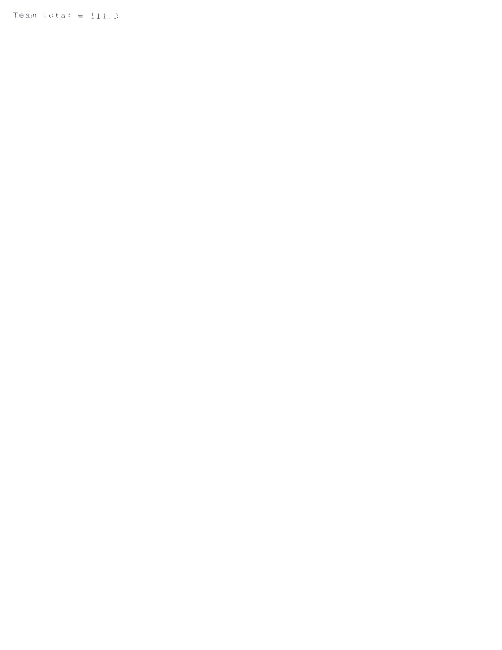Team total =  $111.3$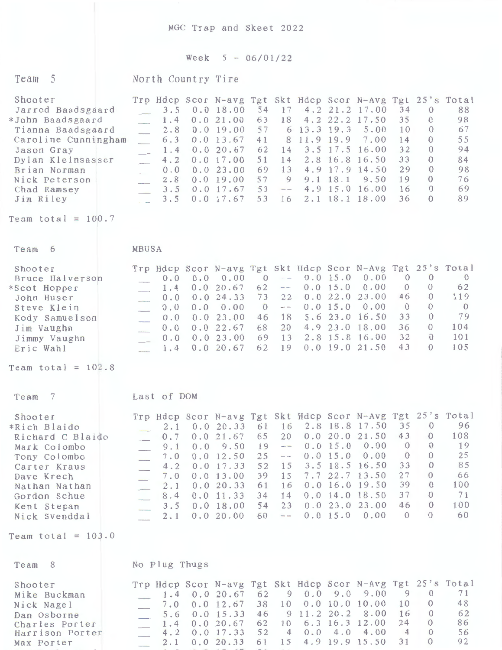MGC Trap and Skeet 2022

## Week  $5 - 06/01/22$

| Team 5                                                                                                                                                                                                               | North Country Tire                                                                                            |                                                                                                                                                                                          |                                                                                                                     |                                                                                                                                                                                                                                            |                                                                                                                                                                                                                                                                                                                         |
|----------------------------------------------------------------------------------------------------------------------------------------------------------------------------------------------------------------------|---------------------------------------------------------------------------------------------------------------|------------------------------------------------------------------------------------------------------------------------------------------------------------------------------------------|---------------------------------------------------------------------------------------------------------------------|--------------------------------------------------------------------------------------------------------------------------------------------------------------------------------------------------------------------------------------------|-------------------------------------------------------------------------------------------------------------------------------------------------------------------------------------------------------------------------------------------------------------------------------------------------------------------------|
| Shooter<br>Jarrod Baadsgaard<br>*John Baadsgaard<br>Tianna Baadsgaard<br>Caroline Cunningham<br>Jason Gray<br>Dylan Kleinsasser<br>Brian Norman<br>Nick Peterson<br>Chad Ramsey<br>Jim Riley<br>Team total = $100.7$ | 3.5<br>1.4<br>2.8<br>6.3<br>1.4<br>4.2<br>0.0<br>2.8<br>3.5<br>3.5                                            | 54<br>0.018.00<br>0.021.00<br>63<br>57<br>0.019.00<br>0.0 13.67<br>41<br>0.0 20.67<br>62<br>0.017.00<br>51<br>0.023.00<br>69<br>57<br>0.019.00<br>53<br>$0.0$ 17.67<br>$0.0$ 17.67<br>53 | 17<br>18<br>6 13.3 19.3<br>11.9 19.9<br>8<br>14<br>14<br>13<br>9<br>$-\,-$<br>16                                    | 4.2 21.2 17.00<br>4.2 22.2 17.50<br>5.00<br>7.00<br>$3.5$ 17.5<br>16.00<br>2.8 16.8 16.50<br>4.9 17.9 14.50<br>9.1 18.1<br>9.50<br>4.9 15.0 16.00<br>2.1 18.1 18.00                                                                        | Trp Hdcp Scor N-avg Tgt Skt Hdcp Scor N-Avg Tgt 25's Total<br>34<br>88<br>$\theta$<br>35<br>98<br>$\Omega$<br>67<br>10<br>$\Omega$<br>55<br>14<br>$\Omega$<br>32<br>$\Omega$<br>94<br>33<br>$\Omega$<br>84<br>29<br>$\Omega$<br>98<br>19<br>$\Omega$<br>76<br>16<br>69<br>$\Omega$<br>89<br>36<br>$\Omega$              |
|                                                                                                                                                                                                                      |                                                                                                               |                                                                                                                                                                                          |                                                                                                                     |                                                                                                                                                                                                                                            |                                                                                                                                                                                                                                                                                                                         |
| Team<br>6                                                                                                                                                                                                            | MBUSA                                                                                                         |                                                                                                                                                                                          |                                                                                                                     |                                                                                                                                                                                                                                            |                                                                                                                                                                                                                                                                                                                         |
| Shooter<br>Bruce Halverson<br>*Scot Hopper<br>John Huser<br>Steve Klein<br>Kody Samuelson<br>Jim Vaughn<br>Jimmy Vaughn<br>Eric Wahl                                                                                 | 0.0<br>0.0<br>0.0<br>1.4<br>0.0<br>$\overline{\phantom{a}}$<br>0.0<br>0.0<br>0.0<br>0.0<br>----<br>0.0<br>1.4 | 0.00<br>$\overline{0}$<br>20.67<br>62<br>0.024.33<br>73<br>0.00<br>$\overline{0}$<br>0.023.00<br>46<br>0.022.67<br>68<br>0.023.00<br>69<br>62<br>0.0 20.67                               | $-\,-$<br>$\sim$<br>22<br>$-\,-$<br>18<br>20<br>13<br>19                                                            | 0.015.0<br>0.00<br>0.0 15.0<br>0.00<br>0.022.0<br>23.00<br>0.0 15.0<br>0.00<br>5.623.0<br>16.50<br>4.9 23.0 18.00<br>2.8 15.8 16.00<br>$0.0$ 19.0 21.50                                                                                    | Trp Hdcp Scor N-avg Tgt Skt Hdcp Scor N-Avg Tgt 25's Total<br>$\overline{0}$<br>$\theta$<br>$\overline{0}$<br>62<br>$\theta$<br>$\theta$<br>119<br>46<br>$\Omega$<br>$\overline{0}$<br>$\overline{0}$<br>$\Omega$<br>79<br>33<br>$\Omega$<br>36<br>$\Omega$<br>104<br>32<br>101<br>$\theta$<br>105<br>43<br>$\Omega$    |
| Team total = $102.8$                                                                                                                                                                                                 |                                                                                                               |                                                                                                                                                                                          |                                                                                                                     |                                                                                                                                                                                                                                            |                                                                                                                                                                                                                                                                                                                         |
| 7<br>Team                                                                                                                                                                                                            | Last of DOM                                                                                                   |                                                                                                                                                                                          |                                                                                                                     |                                                                                                                                                                                                                                            |                                                                                                                                                                                                                                                                                                                         |
| Shooter<br>*Rich Blaido<br>Richard C Blaido<br>Mark Colombo<br>Tony Colombo<br>Carter Kraus<br>Dave Krech<br>Nathan Nathan<br>Gordon Schue<br>Kent Stepan<br>Nick Svenddal                                           | 0.0<br>9.1<br>7.0<br>4.2<br>7.0<br>2.1<br>8.4<br>3.5<br>2.1                                                   | 9.50<br>19<br>25<br>0.0 12.50<br>52<br>0.0 17.33<br>39<br>0.013.00<br>61<br>0.0 20.33<br>0.011.33<br>34<br>0.018.00<br>54<br>0.0 20.00<br>60                                             | $\overline{\phantom{m}}$<br>$ -$<br>15<br>15<br>16<br>14<br>23<br>$\overline{\phantom{m}}$ $\overline{\phantom{m}}$ | 2.1 0.0 20.33 61 16 2.8 18.8 17.50 35<br>$0.7$ 0.0 21.67 65 20 0.0 20.0 21.50 43 0<br>0.0 15.0<br>0.00<br>0.00<br>0.015.0<br>3.5 18.5 16.50<br>$7.7$ 22.7 13.50<br>$0.0$ 16.0 19.50<br>$0.0$ 14.0 18.50<br>0.023.023.00<br>0.015.0<br>0.00 | Trp Hdcp Scor N-avg Tgt Skt Hdcp Scor N-Avg Tgt 25's Total<br>$\mathbf{0}$<br>96<br>108<br>19<br>$\overline{0}$<br>$\theta$<br>25<br>$\overline{0}$<br>$\theta$<br>85<br>33<br>$\theta$<br>27<br>$\theta$<br>66<br>39<br>$\theta$<br>100<br>37<br>$\theta$<br>71<br>46<br>100<br>$\theta$<br>60<br>$\Omega$<br>$\Omega$ |
| Team total = $103.0$                                                                                                                                                                                                 |                                                                                                               |                                                                                                                                                                                          |                                                                                                                     |                                                                                                                                                                                                                                            |                                                                                                                                                                                                                                                                                                                         |
| -8<br>Team                                                                                                                                                                                                           | No Plug Thugs                                                                                                 |                                                                                                                                                                                          |                                                                                                                     |                                                                                                                                                                                                                                            |                                                                                                                                                                                                                                                                                                                         |
| Shooter<br>Mike Buckman<br>Nick Nagel<br>Dan Osborne<br>Charles Porter<br>Harrison Porter                                                                                                                            | 1.4<br>7.0<br>5.6<br>1.4<br>4.2                                                                               | 62<br>0.020.67<br>38<br>0.0 12.67<br>0.0 15.33<br>46<br>0.0 20.67<br>62<br>52<br>0.0 17.33                                                                                               | 10<br>9 11.2 20.2<br>10<br>0.0<br>$\overline{4}$                                                                    | 90.09.09.0<br>0.0 10.0 10.00<br>8.00<br>6.3 16.3 12.00<br>4.00<br>4.0                                                                                                                                                                      | Trp Hdcp Scor N-avg Tgt Skt Hdcp Scor N-Avg Tgt 25's Total<br>$\overline{9}$<br>$\theta$<br>71<br>48<br>10<br>$\mathbf{0}$<br>16<br>62<br>$\theta$<br>24<br>86<br>$\theta$<br>$\overline{4}$<br>$\theta$<br>56                                                                                                          |

Max Porter 2.1 0.0 20.33 61 15 4.9 19.9 15.50 31 0 92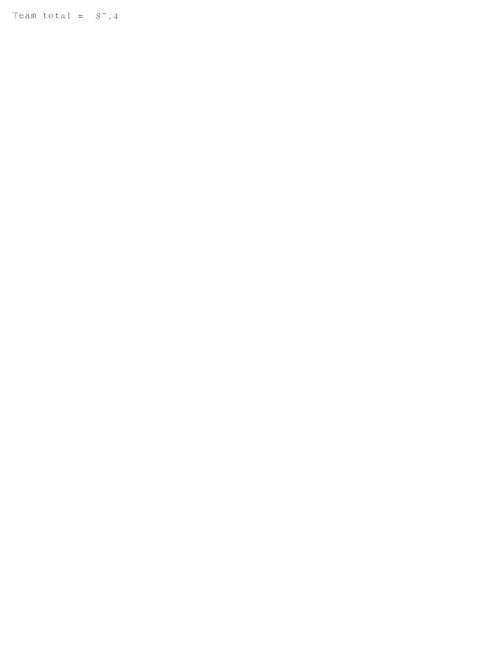Team total =  $8^\circ$ .4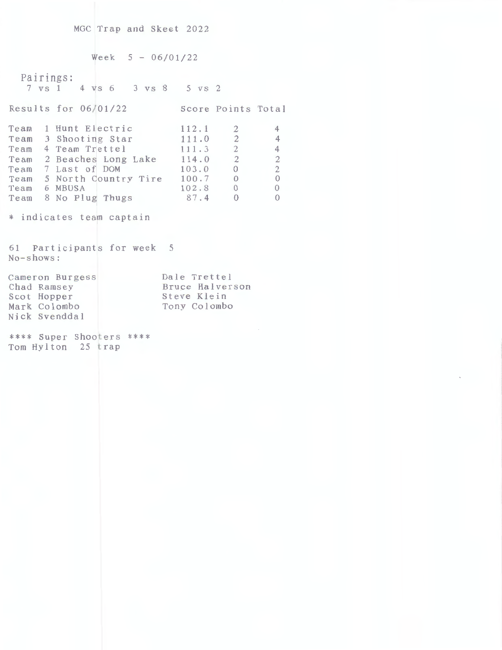MGC Trap and Skeet 2022

 $Week$  5 - 06/01/22 Pairings: 7 VS 1 4 VS 6 3 vs 8 5 VS 2 Results for 06/01/22 Score Points Total Team 1 Hunt Electric Team 3 Shooting Star Team 4 Team Trettel Team 2 Beaches Long Lake Team 7 Last of **DOM**  Team 5 North Country Tire Team 6 MBUSA Team 8 No Plug Thugs \* indicates team captain 61 Participants for week 5 No-shows: Cameron Burgess Chad Ramsey Scot Hopper Mark Colombo Nick Svenddal 112.1 2 111.0 2 111.3 2 114.0 2 103.0 0 100.7 0 102.8 0 87.4 0 Dale Trettel Bruce Halverson Steve Klein Tony Colombo 4 4 4 2 2 0 0 0

\*\*\*\* Super Shooters \*\*\*\* Tom Hylton 25 trap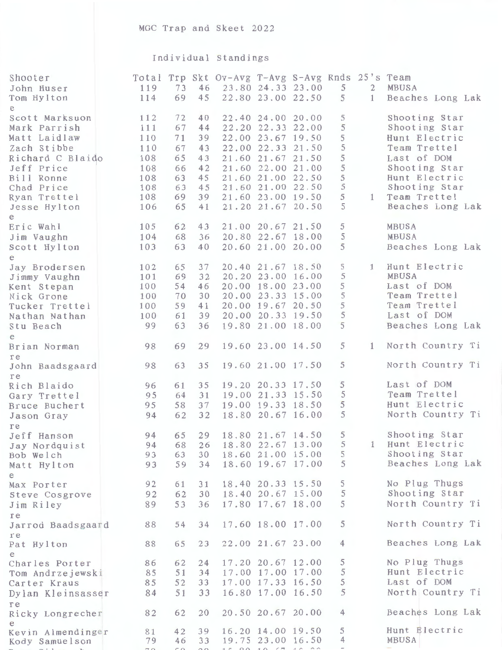## Individual Standings

| e<br>5<br>Shooting Star<br>72<br>22.40 24.00 20.00<br>112<br>40<br>Scott Marksuon<br>5<br>Shooting Star<br>22.20 22.33 22.00<br>111<br>67<br>44<br>Mark Parrish<br>5<br>22.00 23.67 19.50<br>Hunt Electric<br>110<br>71<br>39<br>Matt Laidlaw<br>5<br>Team Trettel<br>22.00 22.33 21.50<br>67<br>43<br>Zach Stibbe<br>110<br>5<br>Last of DOM<br>65<br>43<br>21.60 21.67 21.50<br>Richard C Blaido<br>108<br>5<br>Shooting Star<br>21.60 22.00 21.00<br>42<br>108<br>66<br>Jeff Price<br>5<br>21.60 21.00 22.50<br>Hunt Electric<br>63<br>45<br>108<br>Bill Ronne<br>5<br>Shooting Star<br>21.60 21.00 22.50<br>63<br>108<br>45<br>Chad Price<br>5<br>Team Trettel<br>69<br>21.60 23.00 19.50<br>108<br>39<br>1<br>Ryan Trettel<br>5<br>Beaches Long Lak<br>65<br>21.20 21.67 20.50<br>106<br>41<br>Jesse Hylton<br>e<br>5<br>MBUSA<br>62<br>21.00 20.67 21.50<br>105<br>43<br>Eric Wahl<br>5<br>20.80 22.67 18.00<br><b>MBUSA</b><br>104<br>68<br>36<br>Jim Vaughn<br>5<br>63<br>20.60 21.00 20.00<br>Beaches Long Lak<br>103<br>40<br>Scott Hylton<br>e<br>5<br>Hunt Electric<br>20.40 21.67 18.50<br>1<br>65<br>102<br>37<br>Jay Brodersen<br>5<br>20.20 23.00 16.00<br><b>MBUSA</b><br>69<br>32<br>101<br>Jimmy Vaughn<br>5<br>Last of DOM<br>20.00 18.00 23.00<br>100<br>54<br>46<br>Kent Stepan<br>5<br>Team Trettel<br>20.00 23.33 15.00<br>70<br>30<br>100<br>Nick Grone<br>5<br>Team Trettel<br>20.00 19.67 20.50<br>100<br>59<br>41<br>Tucker Trettel<br>5<br>Last of DOM<br>20.00 20.33 19.50<br>61<br>39<br>100<br>Nathan Nathan<br>5<br>19.80 21.00 18.00<br>Beaches Long Lak<br>63<br>99<br>36<br>Stu Beach<br>e<br>5<br>North Country Ti<br>19.60 23.00 14.50<br>$\mathbf{1}$<br>98<br>69<br>29<br>Brian Norman<br>re<br>North Country Ti<br>5<br>19.60 21.00 17.50<br>63<br>35<br>98<br>John Baadsgaard<br>re<br>Last of DOM<br>5<br>19.20 20.33 17.50<br>35<br>61<br>96<br>Rich Blaido<br>5<br>Team Trettel<br>19.00 21.33 15.50<br>31<br>95<br>64<br>Gary Trettel<br>5<br>Hunt Electric<br>19,00 19,33 18.50<br>95<br>58<br>37<br>Bruce Buchert<br>North Country Ti<br>5<br>18.80 20.67 16.00<br>32<br>94<br>62<br>Jason Gray<br>re<br>5<br>Shooting Star<br>18.80 21.67 14.50<br>94<br>65<br>29<br>Jeff Hanson<br>Hunt Electric<br>5<br>$\mathbf{1}$<br>18.80 22.67 13.00<br>94<br>68<br>26<br>Jay Nordquist<br>Shooting Star<br>5<br>18.60 21.00 15.00<br>93<br>63<br>30<br>Bob Welch<br>Beaches Long Lak<br>5<br>18.60 19.67 17.00<br>93<br>59<br>34<br>Matt Hylton<br>e<br>5<br>No Plug Thugs<br>18.40 20.33 15.50<br>92<br>61<br>31<br>Max Porter<br>5<br>Shooting Star<br>18.40 20.67 15.00<br>92<br>30<br>62<br>Steve Cosgrove<br>North Country Ti<br>5<br>53<br>17.80 17.67 18.00<br>89<br>36<br>Jim Riley<br>re<br>North Country Ti<br>5<br>17.60 18.00 17.00<br>88<br>54<br>34<br>Jarrod Baadsgaard<br>re<br>Beaches Long Lak<br>22.00 21.67 23.00<br>$\overline{4}$<br>65<br>88<br>23<br>Pat Hylton<br>e<br>No Plug Thugs<br>5<br>17.20 20.67 12.00<br>62<br>24<br>86<br>Charles Porter<br>Hunt Electric<br>5<br>17.00 17.00 17.00<br>85<br>51<br>34<br>Tom Andrzejewski<br>Last of DOM<br>5<br>17.00 17.33 16.50<br>52<br>85<br>33<br>Carter Kraus<br>5<br>North Country Ti<br>16.80 17.00 16.50<br>51<br>33<br>84<br>Dylan Kleinsasser<br>re<br>Beaches Long Lak<br>20.50 20.67 20.00<br>$\overline{4}$<br>62<br>82<br>20<br>Ricky Longrecher<br>Hunt Electric<br>5<br>16.20 14.00 19.50<br>42<br>81<br>39<br>Kevin Almendinger<br>MBUSA<br>19.75 23.00 16.50<br>4<br>33<br>46<br>79<br>Kody Samuelson<br>$\equiv$<br>15 00 10 57 10 00<br>$\Omega$<br>$\epsilon \alpha$<br>$\sigma$ | Shooter<br>John Huser<br>Tom Hylton | 119<br>114 | 73<br>69 | 46<br>45 | Total Trp Skt Ov-Avg T-Avg S-Avg Rnds 25's Team | 23.80 24.33 23.00<br>22.80 23.00 22.50 | 5<br>5 | $\overline{2}$<br>$\mathbf{1}$ | MBUSA<br>Beaches Long Lak |
|---------------------------------------------------------------------------------------------------------------------------------------------------------------------------------------------------------------------------------------------------------------------------------------------------------------------------------------------------------------------------------------------------------------------------------------------------------------------------------------------------------------------------------------------------------------------------------------------------------------------------------------------------------------------------------------------------------------------------------------------------------------------------------------------------------------------------------------------------------------------------------------------------------------------------------------------------------------------------------------------------------------------------------------------------------------------------------------------------------------------------------------------------------------------------------------------------------------------------------------------------------------------------------------------------------------------------------------------------------------------------------------------------------------------------------------------------------------------------------------------------------------------------------------------------------------------------------------------------------------------------------------------------------------------------------------------------------------------------------------------------------------------------------------------------------------------------------------------------------------------------------------------------------------------------------------------------------------------------------------------------------------------------------------------------------------------------------------------------------------------------------------------------------------------------------------------------------------------------------------------------------------------------------------------------------------------------------------------------------------------------------------------------------------------------------------------------------------------------------------------------------------------------------------------------------------------------------------------------------------------------------------------------------------------------------------------------------------------------------------------------------------------------------------------------------------------------------------------------------------------------------------------------------------------------------------------------------------------------------------------------------------------------------------------------------------------------------------------------------------------------------------------------------------------------------------------------------------------------------------------------------------------------------------------------------------------------------------------------------------------------------------------------------------------------------------------------------------------------------------------------------------------------------------------------------------------------------------------------------------------|-------------------------------------|------------|----------|----------|-------------------------------------------------|----------------------------------------|--------|--------------------------------|---------------------------|
|                                                                                                                                                                                                                                                                                                                                                                                                                                                                                                                                                                                                                                                                                                                                                                                                                                                                                                                                                                                                                                                                                                                                                                                                                                                                                                                                                                                                                                                                                                                                                                                                                                                                                                                                                                                                                                                                                                                                                                                                                                                                                                                                                                                                                                                                                                                                                                                                                                                                                                                                                                                                                                                                                                                                                                                                                                                                                                                                                                                                                                                                                                                                                                                                                                                                                                                                                                                                                                                                                                                                                                                                                     |                                     |            |          |          |                                                 |                                        |        |                                |                           |
|                                                                                                                                                                                                                                                                                                                                                                                                                                                                                                                                                                                                                                                                                                                                                                                                                                                                                                                                                                                                                                                                                                                                                                                                                                                                                                                                                                                                                                                                                                                                                                                                                                                                                                                                                                                                                                                                                                                                                                                                                                                                                                                                                                                                                                                                                                                                                                                                                                                                                                                                                                                                                                                                                                                                                                                                                                                                                                                                                                                                                                                                                                                                                                                                                                                                                                                                                                                                                                                                                                                                                                                                                     |                                     |            |          |          |                                                 |                                        |        |                                |                           |
|                                                                                                                                                                                                                                                                                                                                                                                                                                                                                                                                                                                                                                                                                                                                                                                                                                                                                                                                                                                                                                                                                                                                                                                                                                                                                                                                                                                                                                                                                                                                                                                                                                                                                                                                                                                                                                                                                                                                                                                                                                                                                                                                                                                                                                                                                                                                                                                                                                                                                                                                                                                                                                                                                                                                                                                                                                                                                                                                                                                                                                                                                                                                                                                                                                                                                                                                                                                                                                                                                                                                                                                                                     |                                     |            |          |          |                                                 |                                        |        |                                |                           |
|                                                                                                                                                                                                                                                                                                                                                                                                                                                                                                                                                                                                                                                                                                                                                                                                                                                                                                                                                                                                                                                                                                                                                                                                                                                                                                                                                                                                                                                                                                                                                                                                                                                                                                                                                                                                                                                                                                                                                                                                                                                                                                                                                                                                                                                                                                                                                                                                                                                                                                                                                                                                                                                                                                                                                                                                                                                                                                                                                                                                                                                                                                                                                                                                                                                                                                                                                                                                                                                                                                                                                                                                                     |                                     |            |          |          |                                                 |                                        |        |                                |                           |
|                                                                                                                                                                                                                                                                                                                                                                                                                                                                                                                                                                                                                                                                                                                                                                                                                                                                                                                                                                                                                                                                                                                                                                                                                                                                                                                                                                                                                                                                                                                                                                                                                                                                                                                                                                                                                                                                                                                                                                                                                                                                                                                                                                                                                                                                                                                                                                                                                                                                                                                                                                                                                                                                                                                                                                                                                                                                                                                                                                                                                                                                                                                                                                                                                                                                                                                                                                                                                                                                                                                                                                                                                     |                                     |            |          |          |                                                 |                                        |        |                                |                           |
|                                                                                                                                                                                                                                                                                                                                                                                                                                                                                                                                                                                                                                                                                                                                                                                                                                                                                                                                                                                                                                                                                                                                                                                                                                                                                                                                                                                                                                                                                                                                                                                                                                                                                                                                                                                                                                                                                                                                                                                                                                                                                                                                                                                                                                                                                                                                                                                                                                                                                                                                                                                                                                                                                                                                                                                                                                                                                                                                                                                                                                                                                                                                                                                                                                                                                                                                                                                                                                                                                                                                                                                                                     |                                     |            |          |          |                                                 |                                        |        |                                |                           |
|                                                                                                                                                                                                                                                                                                                                                                                                                                                                                                                                                                                                                                                                                                                                                                                                                                                                                                                                                                                                                                                                                                                                                                                                                                                                                                                                                                                                                                                                                                                                                                                                                                                                                                                                                                                                                                                                                                                                                                                                                                                                                                                                                                                                                                                                                                                                                                                                                                                                                                                                                                                                                                                                                                                                                                                                                                                                                                                                                                                                                                                                                                                                                                                                                                                                                                                                                                                                                                                                                                                                                                                                                     |                                     |            |          |          |                                                 |                                        |        |                                |                           |
|                                                                                                                                                                                                                                                                                                                                                                                                                                                                                                                                                                                                                                                                                                                                                                                                                                                                                                                                                                                                                                                                                                                                                                                                                                                                                                                                                                                                                                                                                                                                                                                                                                                                                                                                                                                                                                                                                                                                                                                                                                                                                                                                                                                                                                                                                                                                                                                                                                                                                                                                                                                                                                                                                                                                                                                                                                                                                                                                                                                                                                                                                                                                                                                                                                                                                                                                                                                                                                                                                                                                                                                                                     |                                     |            |          |          |                                                 |                                        |        |                                |                           |
|                                                                                                                                                                                                                                                                                                                                                                                                                                                                                                                                                                                                                                                                                                                                                                                                                                                                                                                                                                                                                                                                                                                                                                                                                                                                                                                                                                                                                                                                                                                                                                                                                                                                                                                                                                                                                                                                                                                                                                                                                                                                                                                                                                                                                                                                                                                                                                                                                                                                                                                                                                                                                                                                                                                                                                                                                                                                                                                                                                                                                                                                                                                                                                                                                                                                                                                                                                                                                                                                                                                                                                                                                     |                                     |            |          |          |                                                 |                                        |        |                                |                           |
|                                                                                                                                                                                                                                                                                                                                                                                                                                                                                                                                                                                                                                                                                                                                                                                                                                                                                                                                                                                                                                                                                                                                                                                                                                                                                                                                                                                                                                                                                                                                                                                                                                                                                                                                                                                                                                                                                                                                                                                                                                                                                                                                                                                                                                                                                                                                                                                                                                                                                                                                                                                                                                                                                                                                                                                                                                                                                                                                                                                                                                                                                                                                                                                                                                                                                                                                                                                                                                                                                                                                                                                                                     |                                     |            |          |          |                                                 |                                        |        |                                |                           |
|                                                                                                                                                                                                                                                                                                                                                                                                                                                                                                                                                                                                                                                                                                                                                                                                                                                                                                                                                                                                                                                                                                                                                                                                                                                                                                                                                                                                                                                                                                                                                                                                                                                                                                                                                                                                                                                                                                                                                                                                                                                                                                                                                                                                                                                                                                                                                                                                                                                                                                                                                                                                                                                                                                                                                                                                                                                                                                                                                                                                                                                                                                                                                                                                                                                                                                                                                                                                                                                                                                                                                                                                                     |                                     |            |          |          |                                                 |                                        |        |                                |                           |
|                                                                                                                                                                                                                                                                                                                                                                                                                                                                                                                                                                                                                                                                                                                                                                                                                                                                                                                                                                                                                                                                                                                                                                                                                                                                                                                                                                                                                                                                                                                                                                                                                                                                                                                                                                                                                                                                                                                                                                                                                                                                                                                                                                                                                                                                                                                                                                                                                                                                                                                                                                                                                                                                                                                                                                                                                                                                                                                                                                                                                                                                                                                                                                                                                                                                                                                                                                                                                                                                                                                                                                                                                     |                                     |            |          |          |                                                 |                                        |        |                                |                           |
|                                                                                                                                                                                                                                                                                                                                                                                                                                                                                                                                                                                                                                                                                                                                                                                                                                                                                                                                                                                                                                                                                                                                                                                                                                                                                                                                                                                                                                                                                                                                                                                                                                                                                                                                                                                                                                                                                                                                                                                                                                                                                                                                                                                                                                                                                                                                                                                                                                                                                                                                                                                                                                                                                                                                                                                                                                                                                                                                                                                                                                                                                                                                                                                                                                                                                                                                                                                                                                                                                                                                                                                                                     |                                     |            |          |          |                                                 |                                        |        |                                |                           |
|                                                                                                                                                                                                                                                                                                                                                                                                                                                                                                                                                                                                                                                                                                                                                                                                                                                                                                                                                                                                                                                                                                                                                                                                                                                                                                                                                                                                                                                                                                                                                                                                                                                                                                                                                                                                                                                                                                                                                                                                                                                                                                                                                                                                                                                                                                                                                                                                                                                                                                                                                                                                                                                                                                                                                                                                                                                                                                                                                                                                                                                                                                                                                                                                                                                                                                                                                                                                                                                                                                                                                                                                                     |                                     |            |          |          |                                                 |                                        |        |                                |                           |
|                                                                                                                                                                                                                                                                                                                                                                                                                                                                                                                                                                                                                                                                                                                                                                                                                                                                                                                                                                                                                                                                                                                                                                                                                                                                                                                                                                                                                                                                                                                                                                                                                                                                                                                                                                                                                                                                                                                                                                                                                                                                                                                                                                                                                                                                                                                                                                                                                                                                                                                                                                                                                                                                                                                                                                                                                                                                                                                                                                                                                                                                                                                                                                                                                                                                                                                                                                                                                                                                                                                                                                                                                     |                                     |            |          |          |                                                 |                                        |        |                                |                           |
|                                                                                                                                                                                                                                                                                                                                                                                                                                                                                                                                                                                                                                                                                                                                                                                                                                                                                                                                                                                                                                                                                                                                                                                                                                                                                                                                                                                                                                                                                                                                                                                                                                                                                                                                                                                                                                                                                                                                                                                                                                                                                                                                                                                                                                                                                                                                                                                                                                                                                                                                                                                                                                                                                                                                                                                                                                                                                                                                                                                                                                                                                                                                                                                                                                                                                                                                                                                                                                                                                                                                                                                                                     |                                     |            |          |          |                                                 |                                        |        |                                |                           |
|                                                                                                                                                                                                                                                                                                                                                                                                                                                                                                                                                                                                                                                                                                                                                                                                                                                                                                                                                                                                                                                                                                                                                                                                                                                                                                                                                                                                                                                                                                                                                                                                                                                                                                                                                                                                                                                                                                                                                                                                                                                                                                                                                                                                                                                                                                                                                                                                                                                                                                                                                                                                                                                                                                                                                                                                                                                                                                                                                                                                                                                                                                                                                                                                                                                                                                                                                                                                                                                                                                                                                                                                                     |                                     |            |          |          |                                                 |                                        |        |                                |                           |
|                                                                                                                                                                                                                                                                                                                                                                                                                                                                                                                                                                                                                                                                                                                                                                                                                                                                                                                                                                                                                                                                                                                                                                                                                                                                                                                                                                                                                                                                                                                                                                                                                                                                                                                                                                                                                                                                                                                                                                                                                                                                                                                                                                                                                                                                                                                                                                                                                                                                                                                                                                                                                                                                                                                                                                                                                                                                                                                                                                                                                                                                                                                                                                                                                                                                                                                                                                                                                                                                                                                                                                                                                     |                                     |            |          |          |                                                 |                                        |        |                                |                           |
|                                                                                                                                                                                                                                                                                                                                                                                                                                                                                                                                                                                                                                                                                                                                                                                                                                                                                                                                                                                                                                                                                                                                                                                                                                                                                                                                                                                                                                                                                                                                                                                                                                                                                                                                                                                                                                                                                                                                                                                                                                                                                                                                                                                                                                                                                                                                                                                                                                                                                                                                                                                                                                                                                                                                                                                                                                                                                                                                                                                                                                                                                                                                                                                                                                                                                                                                                                                                                                                                                                                                                                                                                     |                                     |            |          |          |                                                 |                                        |        |                                |                           |
|                                                                                                                                                                                                                                                                                                                                                                                                                                                                                                                                                                                                                                                                                                                                                                                                                                                                                                                                                                                                                                                                                                                                                                                                                                                                                                                                                                                                                                                                                                                                                                                                                                                                                                                                                                                                                                                                                                                                                                                                                                                                                                                                                                                                                                                                                                                                                                                                                                                                                                                                                                                                                                                                                                                                                                                                                                                                                                                                                                                                                                                                                                                                                                                                                                                                                                                                                                                                                                                                                                                                                                                                                     |                                     |            |          |          |                                                 |                                        |        |                                |                           |
|                                                                                                                                                                                                                                                                                                                                                                                                                                                                                                                                                                                                                                                                                                                                                                                                                                                                                                                                                                                                                                                                                                                                                                                                                                                                                                                                                                                                                                                                                                                                                                                                                                                                                                                                                                                                                                                                                                                                                                                                                                                                                                                                                                                                                                                                                                                                                                                                                                                                                                                                                                                                                                                                                                                                                                                                                                                                                                                                                                                                                                                                                                                                                                                                                                                                                                                                                                                                                                                                                                                                                                                                                     |                                     |            |          |          |                                                 |                                        |        |                                |                           |
|                                                                                                                                                                                                                                                                                                                                                                                                                                                                                                                                                                                                                                                                                                                                                                                                                                                                                                                                                                                                                                                                                                                                                                                                                                                                                                                                                                                                                                                                                                                                                                                                                                                                                                                                                                                                                                                                                                                                                                                                                                                                                                                                                                                                                                                                                                                                                                                                                                                                                                                                                                                                                                                                                                                                                                                                                                                                                                                                                                                                                                                                                                                                                                                                                                                                                                                                                                                                                                                                                                                                                                                                                     |                                     |            |          |          |                                                 |                                        |        |                                |                           |
|                                                                                                                                                                                                                                                                                                                                                                                                                                                                                                                                                                                                                                                                                                                                                                                                                                                                                                                                                                                                                                                                                                                                                                                                                                                                                                                                                                                                                                                                                                                                                                                                                                                                                                                                                                                                                                                                                                                                                                                                                                                                                                                                                                                                                                                                                                                                                                                                                                                                                                                                                                                                                                                                                                                                                                                                                                                                                                                                                                                                                                                                                                                                                                                                                                                                                                                                                                                                                                                                                                                                                                                                                     |                                     |            |          |          |                                                 |                                        |        |                                |                           |
|                                                                                                                                                                                                                                                                                                                                                                                                                                                                                                                                                                                                                                                                                                                                                                                                                                                                                                                                                                                                                                                                                                                                                                                                                                                                                                                                                                                                                                                                                                                                                                                                                                                                                                                                                                                                                                                                                                                                                                                                                                                                                                                                                                                                                                                                                                                                                                                                                                                                                                                                                                                                                                                                                                                                                                                                                                                                                                                                                                                                                                                                                                                                                                                                                                                                                                                                                                                                                                                                                                                                                                                                                     |                                     |            |          |          |                                                 |                                        |        |                                |                           |
|                                                                                                                                                                                                                                                                                                                                                                                                                                                                                                                                                                                                                                                                                                                                                                                                                                                                                                                                                                                                                                                                                                                                                                                                                                                                                                                                                                                                                                                                                                                                                                                                                                                                                                                                                                                                                                                                                                                                                                                                                                                                                                                                                                                                                                                                                                                                                                                                                                                                                                                                                                                                                                                                                                                                                                                                                                                                                                                                                                                                                                                                                                                                                                                                                                                                                                                                                                                                                                                                                                                                                                                                                     |                                     |            |          |          |                                                 |                                        |        |                                |                           |
|                                                                                                                                                                                                                                                                                                                                                                                                                                                                                                                                                                                                                                                                                                                                                                                                                                                                                                                                                                                                                                                                                                                                                                                                                                                                                                                                                                                                                                                                                                                                                                                                                                                                                                                                                                                                                                                                                                                                                                                                                                                                                                                                                                                                                                                                                                                                                                                                                                                                                                                                                                                                                                                                                                                                                                                                                                                                                                                                                                                                                                                                                                                                                                                                                                                                                                                                                                                                                                                                                                                                                                                                                     |                                     |            |          |          |                                                 |                                        |        |                                |                           |
|                                                                                                                                                                                                                                                                                                                                                                                                                                                                                                                                                                                                                                                                                                                                                                                                                                                                                                                                                                                                                                                                                                                                                                                                                                                                                                                                                                                                                                                                                                                                                                                                                                                                                                                                                                                                                                                                                                                                                                                                                                                                                                                                                                                                                                                                                                                                                                                                                                                                                                                                                                                                                                                                                                                                                                                                                                                                                                                                                                                                                                                                                                                                                                                                                                                                                                                                                                                                                                                                                                                                                                                                                     |                                     |            |          |          |                                                 |                                        |        |                                |                           |
|                                                                                                                                                                                                                                                                                                                                                                                                                                                                                                                                                                                                                                                                                                                                                                                                                                                                                                                                                                                                                                                                                                                                                                                                                                                                                                                                                                                                                                                                                                                                                                                                                                                                                                                                                                                                                                                                                                                                                                                                                                                                                                                                                                                                                                                                                                                                                                                                                                                                                                                                                                                                                                                                                                                                                                                                                                                                                                                                                                                                                                                                                                                                                                                                                                                                                                                                                                                                                                                                                                                                                                                                                     |                                     |            |          |          |                                                 |                                        |        |                                |                           |
|                                                                                                                                                                                                                                                                                                                                                                                                                                                                                                                                                                                                                                                                                                                                                                                                                                                                                                                                                                                                                                                                                                                                                                                                                                                                                                                                                                                                                                                                                                                                                                                                                                                                                                                                                                                                                                                                                                                                                                                                                                                                                                                                                                                                                                                                                                                                                                                                                                                                                                                                                                                                                                                                                                                                                                                                                                                                                                                                                                                                                                                                                                                                                                                                                                                                                                                                                                                                                                                                                                                                                                                                                     |                                     |            |          |          |                                                 |                                        |        |                                |                           |
|                                                                                                                                                                                                                                                                                                                                                                                                                                                                                                                                                                                                                                                                                                                                                                                                                                                                                                                                                                                                                                                                                                                                                                                                                                                                                                                                                                                                                                                                                                                                                                                                                                                                                                                                                                                                                                                                                                                                                                                                                                                                                                                                                                                                                                                                                                                                                                                                                                                                                                                                                                                                                                                                                                                                                                                                                                                                                                                                                                                                                                                                                                                                                                                                                                                                                                                                                                                                                                                                                                                                                                                                                     |                                     |            |          |          |                                                 |                                        |        |                                |                           |
|                                                                                                                                                                                                                                                                                                                                                                                                                                                                                                                                                                                                                                                                                                                                                                                                                                                                                                                                                                                                                                                                                                                                                                                                                                                                                                                                                                                                                                                                                                                                                                                                                                                                                                                                                                                                                                                                                                                                                                                                                                                                                                                                                                                                                                                                                                                                                                                                                                                                                                                                                                                                                                                                                                                                                                                                                                                                                                                                                                                                                                                                                                                                                                                                                                                                                                                                                                                                                                                                                                                                                                                                                     |                                     |            |          |          |                                                 |                                        |        |                                |                           |
|                                                                                                                                                                                                                                                                                                                                                                                                                                                                                                                                                                                                                                                                                                                                                                                                                                                                                                                                                                                                                                                                                                                                                                                                                                                                                                                                                                                                                                                                                                                                                                                                                                                                                                                                                                                                                                                                                                                                                                                                                                                                                                                                                                                                                                                                                                                                                                                                                                                                                                                                                                                                                                                                                                                                                                                                                                                                                                                                                                                                                                                                                                                                                                                                                                                                                                                                                                                                                                                                                                                                                                                                                     |                                     |            |          |          |                                                 |                                        |        |                                |                           |
|                                                                                                                                                                                                                                                                                                                                                                                                                                                                                                                                                                                                                                                                                                                                                                                                                                                                                                                                                                                                                                                                                                                                                                                                                                                                                                                                                                                                                                                                                                                                                                                                                                                                                                                                                                                                                                                                                                                                                                                                                                                                                                                                                                                                                                                                                                                                                                                                                                                                                                                                                                                                                                                                                                                                                                                                                                                                                                                                                                                                                                                                                                                                                                                                                                                                                                                                                                                                                                                                                                                                                                                                                     |                                     |            |          |          |                                                 |                                        |        |                                |                           |
|                                                                                                                                                                                                                                                                                                                                                                                                                                                                                                                                                                                                                                                                                                                                                                                                                                                                                                                                                                                                                                                                                                                                                                                                                                                                                                                                                                                                                                                                                                                                                                                                                                                                                                                                                                                                                                                                                                                                                                                                                                                                                                                                                                                                                                                                                                                                                                                                                                                                                                                                                                                                                                                                                                                                                                                                                                                                                                                                                                                                                                                                                                                                                                                                                                                                                                                                                                                                                                                                                                                                                                                                                     |                                     |            |          |          |                                                 |                                        |        |                                |                           |
|                                                                                                                                                                                                                                                                                                                                                                                                                                                                                                                                                                                                                                                                                                                                                                                                                                                                                                                                                                                                                                                                                                                                                                                                                                                                                                                                                                                                                                                                                                                                                                                                                                                                                                                                                                                                                                                                                                                                                                                                                                                                                                                                                                                                                                                                                                                                                                                                                                                                                                                                                                                                                                                                                                                                                                                                                                                                                                                                                                                                                                                                                                                                                                                                                                                                                                                                                                                                                                                                                                                                                                                                                     |                                     |            |          |          |                                                 |                                        |        |                                |                           |
|                                                                                                                                                                                                                                                                                                                                                                                                                                                                                                                                                                                                                                                                                                                                                                                                                                                                                                                                                                                                                                                                                                                                                                                                                                                                                                                                                                                                                                                                                                                                                                                                                                                                                                                                                                                                                                                                                                                                                                                                                                                                                                                                                                                                                                                                                                                                                                                                                                                                                                                                                                                                                                                                                                                                                                                                                                                                                                                                                                                                                                                                                                                                                                                                                                                                                                                                                                                                                                                                                                                                                                                                                     |                                     |            |          |          |                                                 |                                        |        |                                |                           |
|                                                                                                                                                                                                                                                                                                                                                                                                                                                                                                                                                                                                                                                                                                                                                                                                                                                                                                                                                                                                                                                                                                                                                                                                                                                                                                                                                                                                                                                                                                                                                                                                                                                                                                                                                                                                                                                                                                                                                                                                                                                                                                                                                                                                                                                                                                                                                                                                                                                                                                                                                                                                                                                                                                                                                                                                                                                                                                                                                                                                                                                                                                                                                                                                                                                                                                                                                                                                                                                                                                                                                                                                                     |                                     |            |          |          |                                                 |                                        |        |                                |                           |
|                                                                                                                                                                                                                                                                                                                                                                                                                                                                                                                                                                                                                                                                                                                                                                                                                                                                                                                                                                                                                                                                                                                                                                                                                                                                                                                                                                                                                                                                                                                                                                                                                                                                                                                                                                                                                                                                                                                                                                                                                                                                                                                                                                                                                                                                                                                                                                                                                                                                                                                                                                                                                                                                                                                                                                                                                                                                                                                                                                                                                                                                                                                                                                                                                                                                                                                                                                                                                                                                                                                                                                                                                     |                                     |            |          |          |                                                 |                                        |        |                                |                           |
|                                                                                                                                                                                                                                                                                                                                                                                                                                                                                                                                                                                                                                                                                                                                                                                                                                                                                                                                                                                                                                                                                                                                                                                                                                                                                                                                                                                                                                                                                                                                                                                                                                                                                                                                                                                                                                                                                                                                                                                                                                                                                                                                                                                                                                                                                                                                                                                                                                                                                                                                                                                                                                                                                                                                                                                                                                                                                                                                                                                                                                                                                                                                                                                                                                                                                                                                                                                                                                                                                                                                                                                                                     |                                     |            |          |          |                                                 |                                        |        |                                |                           |
|                                                                                                                                                                                                                                                                                                                                                                                                                                                                                                                                                                                                                                                                                                                                                                                                                                                                                                                                                                                                                                                                                                                                                                                                                                                                                                                                                                                                                                                                                                                                                                                                                                                                                                                                                                                                                                                                                                                                                                                                                                                                                                                                                                                                                                                                                                                                                                                                                                                                                                                                                                                                                                                                                                                                                                                                                                                                                                                                                                                                                                                                                                                                                                                                                                                                                                                                                                                                                                                                                                                                                                                                                     |                                     |            |          |          |                                                 |                                        |        |                                |                           |
|                                                                                                                                                                                                                                                                                                                                                                                                                                                                                                                                                                                                                                                                                                                                                                                                                                                                                                                                                                                                                                                                                                                                                                                                                                                                                                                                                                                                                                                                                                                                                                                                                                                                                                                                                                                                                                                                                                                                                                                                                                                                                                                                                                                                                                                                                                                                                                                                                                                                                                                                                                                                                                                                                                                                                                                                                                                                                                                                                                                                                                                                                                                                                                                                                                                                                                                                                                                                                                                                                                                                                                                                                     |                                     |            |          |          |                                                 |                                        |        |                                |                           |
|                                                                                                                                                                                                                                                                                                                                                                                                                                                                                                                                                                                                                                                                                                                                                                                                                                                                                                                                                                                                                                                                                                                                                                                                                                                                                                                                                                                                                                                                                                                                                                                                                                                                                                                                                                                                                                                                                                                                                                                                                                                                                                                                                                                                                                                                                                                                                                                                                                                                                                                                                                                                                                                                                                                                                                                                                                                                                                                                                                                                                                                                                                                                                                                                                                                                                                                                                                                                                                                                                                                                                                                                                     |                                     |            |          |          |                                                 |                                        |        |                                |                           |
|                                                                                                                                                                                                                                                                                                                                                                                                                                                                                                                                                                                                                                                                                                                                                                                                                                                                                                                                                                                                                                                                                                                                                                                                                                                                                                                                                                                                                                                                                                                                                                                                                                                                                                                                                                                                                                                                                                                                                                                                                                                                                                                                                                                                                                                                                                                                                                                                                                                                                                                                                                                                                                                                                                                                                                                                                                                                                                                                                                                                                                                                                                                                                                                                                                                                                                                                                                                                                                                                                                                                                                                                                     |                                     |            |          |          |                                                 |                                        |        |                                |                           |
|                                                                                                                                                                                                                                                                                                                                                                                                                                                                                                                                                                                                                                                                                                                                                                                                                                                                                                                                                                                                                                                                                                                                                                                                                                                                                                                                                                                                                                                                                                                                                                                                                                                                                                                                                                                                                                                                                                                                                                                                                                                                                                                                                                                                                                                                                                                                                                                                                                                                                                                                                                                                                                                                                                                                                                                                                                                                                                                                                                                                                                                                                                                                                                                                                                                                                                                                                                                                                                                                                                                                                                                                                     |                                     |            |          |          |                                                 |                                        |        |                                |                           |
|                                                                                                                                                                                                                                                                                                                                                                                                                                                                                                                                                                                                                                                                                                                                                                                                                                                                                                                                                                                                                                                                                                                                                                                                                                                                                                                                                                                                                                                                                                                                                                                                                                                                                                                                                                                                                                                                                                                                                                                                                                                                                                                                                                                                                                                                                                                                                                                                                                                                                                                                                                                                                                                                                                                                                                                                                                                                                                                                                                                                                                                                                                                                                                                                                                                                                                                                                                                                                                                                                                                                                                                                                     |                                     |            |          |          |                                                 |                                        |        |                                |                           |
|                                                                                                                                                                                                                                                                                                                                                                                                                                                                                                                                                                                                                                                                                                                                                                                                                                                                                                                                                                                                                                                                                                                                                                                                                                                                                                                                                                                                                                                                                                                                                                                                                                                                                                                                                                                                                                                                                                                                                                                                                                                                                                                                                                                                                                                                                                                                                                                                                                                                                                                                                                                                                                                                                                                                                                                                                                                                                                                                                                                                                                                                                                                                                                                                                                                                                                                                                                                                                                                                                                                                                                                                                     |                                     |            |          |          |                                                 |                                        |        |                                |                           |
|                                                                                                                                                                                                                                                                                                                                                                                                                                                                                                                                                                                                                                                                                                                                                                                                                                                                                                                                                                                                                                                                                                                                                                                                                                                                                                                                                                                                                                                                                                                                                                                                                                                                                                                                                                                                                                                                                                                                                                                                                                                                                                                                                                                                                                                                                                                                                                                                                                                                                                                                                                                                                                                                                                                                                                                                                                                                                                                                                                                                                                                                                                                                                                                                                                                                                                                                                                                                                                                                                                                                                                                                                     |                                     |            |          |          |                                                 |                                        |        |                                |                           |
|                                                                                                                                                                                                                                                                                                                                                                                                                                                                                                                                                                                                                                                                                                                                                                                                                                                                                                                                                                                                                                                                                                                                                                                                                                                                                                                                                                                                                                                                                                                                                                                                                                                                                                                                                                                                                                                                                                                                                                                                                                                                                                                                                                                                                                                                                                                                                                                                                                                                                                                                                                                                                                                                                                                                                                                                                                                                                                                                                                                                                                                                                                                                                                                                                                                                                                                                                                                                                                                                                                                                                                                                                     |                                     |            |          |          |                                                 |                                        |        |                                |                           |
|                                                                                                                                                                                                                                                                                                                                                                                                                                                                                                                                                                                                                                                                                                                                                                                                                                                                                                                                                                                                                                                                                                                                                                                                                                                                                                                                                                                                                                                                                                                                                                                                                                                                                                                                                                                                                                                                                                                                                                                                                                                                                                                                                                                                                                                                                                                                                                                                                                                                                                                                                                                                                                                                                                                                                                                                                                                                                                                                                                                                                                                                                                                                                                                                                                                                                                                                                                                                                                                                                                                                                                                                                     |                                     |            |          |          |                                                 |                                        |        |                                |                           |
|                                                                                                                                                                                                                                                                                                                                                                                                                                                                                                                                                                                                                                                                                                                                                                                                                                                                                                                                                                                                                                                                                                                                                                                                                                                                                                                                                                                                                                                                                                                                                                                                                                                                                                                                                                                                                                                                                                                                                                                                                                                                                                                                                                                                                                                                                                                                                                                                                                                                                                                                                                                                                                                                                                                                                                                                                                                                                                                                                                                                                                                                                                                                                                                                                                                                                                                                                                                                                                                                                                                                                                                                                     |                                     |            |          |          |                                                 |                                        |        |                                |                           |
|                                                                                                                                                                                                                                                                                                                                                                                                                                                                                                                                                                                                                                                                                                                                                                                                                                                                                                                                                                                                                                                                                                                                                                                                                                                                                                                                                                                                                                                                                                                                                                                                                                                                                                                                                                                                                                                                                                                                                                                                                                                                                                                                                                                                                                                                                                                                                                                                                                                                                                                                                                                                                                                                                                                                                                                                                                                                                                                                                                                                                                                                                                                                                                                                                                                                                                                                                                                                                                                                                                                                                                                                                     |                                     |            |          |          |                                                 |                                        |        |                                |                           |
|                                                                                                                                                                                                                                                                                                                                                                                                                                                                                                                                                                                                                                                                                                                                                                                                                                                                                                                                                                                                                                                                                                                                                                                                                                                                                                                                                                                                                                                                                                                                                                                                                                                                                                                                                                                                                                                                                                                                                                                                                                                                                                                                                                                                                                                                                                                                                                                                                                                                                                                                                                                                                                                                                                                                                                                                                                                                                                                                                                                                                                                                                                                                                                                                                                                                                                                                                                                                                                                                                                                                                                                                                     |                                     |            |          |          |                                                 |                                        |        |                                |                           |
|                                                                                                                                                                                                                                                                                                                                                                                                                                                                                                                                                                                                                                                                                                                                                                                                                                                                                                                                                                                                                                                                                                                                                                                                                                                                                                                                                                                                                                                                                                                                                                                                                                                                                                                                                                                                                                                                                                                                                                                                                                                                                                                                                                                                                                                                                                                                                                                                                                                                                                                                                                                                                                                                                                                                                                                                                                                                                                                                                                                                                                                                                                                                                                                                                                                                                                                                                                                                                                                                                                                                                                                                                     |                                     |            |          |          |                                                 |                                        |        |                                |                           |